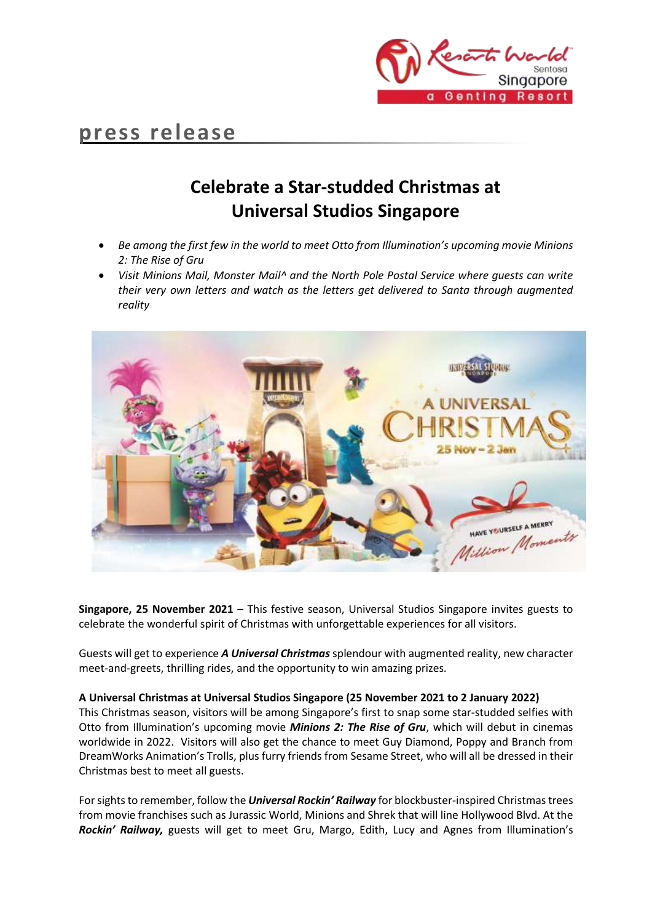

# **press release**

# **Celebrate a Star-studded Christmas at Universal Studios Singapore**

- *Be among the first few in the world to meet Otto from Illumination's upcoming movie Minions 2: The Rise of Gru*
- *Visit Minions Mail, Monster Mail^ and the North Pole Postal Service where guests can write their very own letters and watch as the letters get delivered to Santa through augmented reality*



**Singapore, 25 November 2021** – This festive season, Universal Studios Singapore invites guests to celebrate the wonderful spirit of Christmas with unforgettable experiences for all visitors.

Guests will get to experience *A Universal Christmas* splendour with augmented reality, new character meet-and-greets, thrilling rides, and the opportunity to win amazing prizes*.*

# **A Universal Christmas at Universal Studios Singapore (25 November 2021 to 2 January 2022)**

This Christmas season, visitors will be among Singapore's first to snap some star-studded selfies with Otto from Illumination's upcoming movie *Minions 2: The Rise of Gru*, which will debut in cinemas worldwide in 2022. Visitors will also get the chance to meet Guy Diamond, Poppy and Branch from DreamWorks Animation's Trolls, plus furry friends from Sesame Street, who will all be dressed in their Christmas best to meet all guests.

For sights to remember, follow the *Universal Rockin' Railway* for blockbuster-inspired Christmas trees from movie franchises such as Jurassic World, Minions and Shrek that will line Hollywood Blvd. At the *Rockin' Railway,* guests will get to meet Gru, Margo, Edith, Lucy and Agnes from Illumination's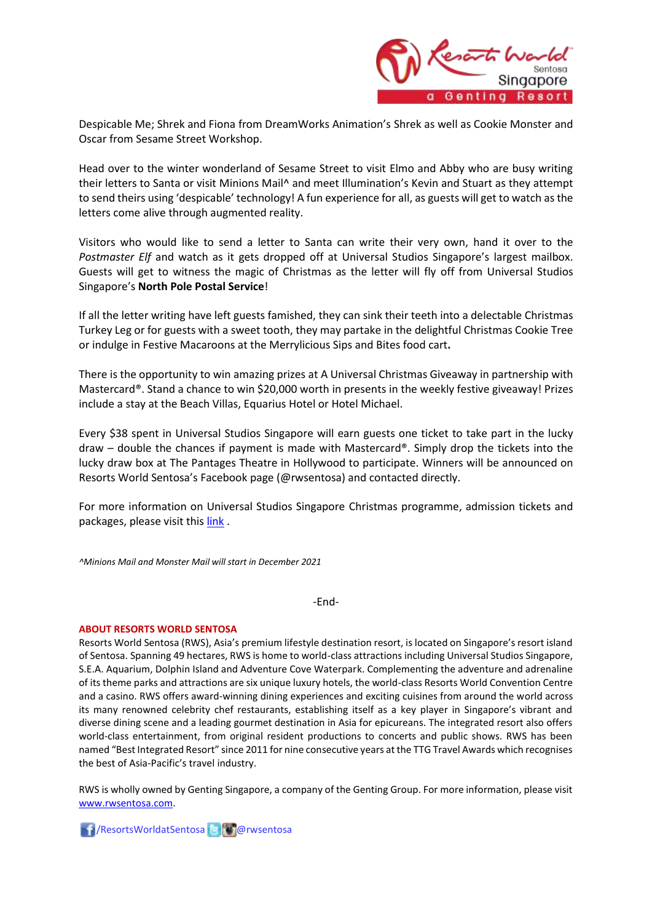

Despicable Me; Shrek and Fiona from DreamWorks Animation's Shrek as well as Cookie Monster and Oscar from Sesame Street Workshop.

Head over to the winter wonderland of Sesame Street to visit Elmo and Abby who are busy writing their letters to Santa or visit Minions Mail^ and meet Illumination's Kevin and Stuart as they attempt to send theirs using 'despicable' technology! A fun experience for all, as guests will get to watch as the letters come alive through augmented reality.

Visitors who would like to send a letter to Santa can write their very own, hand it over to the *Postmaster Elf* and watch as it gets dropped off at Universal Studios Singapore's largest mailbox. Guests will get to witness the magic of Christmas as the letter will fly off from Universal Studios Singapore's **North Pole Postal Service**!

If all the letter writing have left guests famished, they can sink their teeth into a delectable Christmas Turkey Leg or for guests with a sweet tooth, they may partake in the delightful Christmas Cookie Tree or indulge in Festive Macaroons at the Merrylicious Sips and Bites food cart**.**

There is the opportunity to win amazing prizes at A Universal Christmas Giveaway in partnership with Mastercard®. Stand a chance to win \$20,000 worth in presents in the weekly festive giveaway! Prizes include a stay at the Beach Villas, Equarius Hotel or Hotel Michael.

Every \$38 spent in Universal Studios Singapore will earn guests one ticket to take part in the lucky draw – double the chances if payment is made with Mastercard®. Simply drop the tickets into the lucky draw box at The Pantages Theatre in Hollywood to participate. Winners will be announced on Resorts World Sentosa's Facebook page (@rwsentosa) and contacted directly.

For more information on Universal Studios Singapore Christmas programme, admission tickets and packages, please visit thi[s link](https://www.rwsentosa.com/en/attractions/universal-studios-singapore/promotions-and-events/universal-christmas) .

*^Minions Mail and Monster Mail will start in December 2021*

-End-

## **ABOUT RESORTS WORLD SENTOSA**

Resorts World Sentosa (RWS), Asia's premium lifestyle destination resort, is located on Singapore's resort island of Sentosa. Spanning 49 hectares, RWS is home to world-class attractions including Universal Studios Singapore, S.E.A. Aquarium, Dolphin Island and Adventure Cove Waterpark. Complementing the adventure and adrenaline of its theme parks and attractions are six unique luxury hotels, the world-class Resorts World Convention Centre and a casino. RWS offers award-winning dining experiences and exciting cuisines from around the world across its many renowned celebrity chef restaurants, establishing itself as a key player in Singapore's vibrant and diverse dining scene and a leading gourmet destination in Asia for epicureans. The integrated resort also offers world-class entertainment, from original resident productions to concerts and public shows. RWS has been named "Best Integrated Resort" since 2011 for nine consecutive years at the TTG Travel Awards which recognises the best of Asia-Pacific's travel industry.

RWS is wholly owned by Genting Singapore, a company of the Genting Group. For more information, please visit [www.rwsentosa.com.](http://www.rwsentosa.com/)

/ResortsWorldatSentosa @rwsentosa